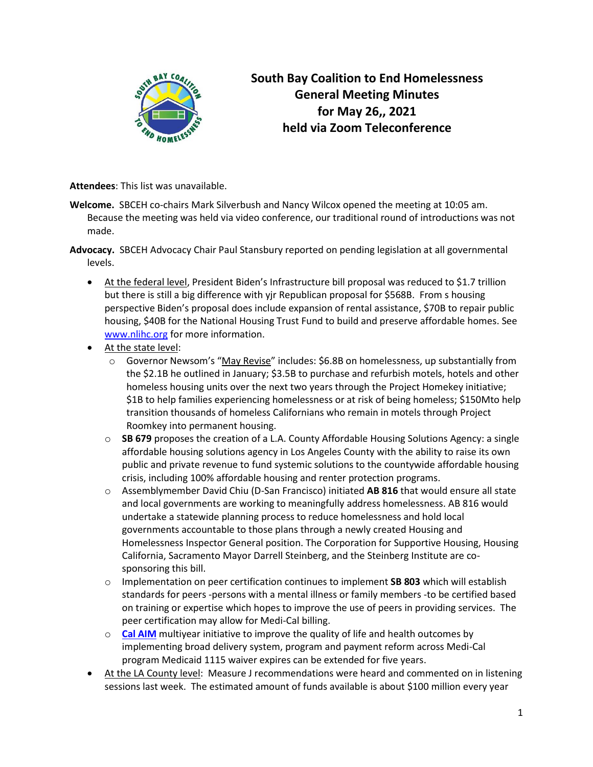

## **South Bay Coalition to End Homelessness General Meeting Minutes for May 26,, 2021 held via Zoom Teleconference**

**Attendees**: This list was unavailable.

- **Welcome.** SBCEH co-chairs Mark Silverbush and Nancy Wilcox opened the meeting at 10:05 am. Because the meeting was held via video conference, our traditional round of introductions was not made.
- **Advocacy.** SBCEH Advocacy Chair Paul Stansbury reported on pending legislation at all governmental levels.
	- At the federal level, President Biden's Infrastructure bill proposal was reduced to \$1.7 trillion but there is still a big difference with yjr Republican proposal for \$568B. From s housing perspective Biden's proposal does include expansion of rental assistance, \$70B to repair public housing, \$40B for the National Housing Trust Fund to build and preserve affordable homes. See [www.nlihc.org](http://www.nlihc.org/) for more information.
	- At the state level:
		- $\circ$  Governor Newsom's "[May Revise](:%20https:/www.capradio.org/articles/2021/05/14/newsom-to-outline-budget-proposal-for-75-billion-surplus-federal-relief/)" includes: \$6.8B on homelessness, up substantially from the \$2.1B he outlined in January; \$3.5B to purchase and refurbish motels, hotels and other homeless housing units over the next two years through the [Project Homekey initiative;](https://r20.rs6.net/tn.jsp?f=001qW5_rPhrTimvAjvyDrOuGhB85085iayQwNLBAFhI_hRDltl6y3L19HEnLkTaqQiWL4apeoOqWLOiS9zxbd8W1cHLhL00Mk3Qmf9-3EyJXElICt-5b7k5bQzt1EHSqS7LBtgxiarIMK2DOSfD-2GzUeEVUK_8IKiuzifk6jLPTK1x8Mzxbpcfl4kkiprhKIhndtLeaDXXArM32d3YbDlMdD3dRWbHvMpcw06HSKFURsmEPFtyuhRCb8RXEgkxg0Wjs5YPkKD_LAYPQbtog4k2V-D0kOAz--eeqGyjS7K0k5qScbpN6LZuNOJR7X7rx9Nzem1wLs9Y7-gr0_Fov4O_XGClU6MnD07HwRIyTSdPUa4=&c=Ylv8q_vmBmwh03RJhkEE24oO6XUmjy6LhSy1n0QZEfC5XFpEfTVdmg==&ch=1V75retuybxjOhg5WIFNqWrz-C70CEbERQR7KMsoxu7jUlnju-PO_A==&jrc=1) \$1B to help families experiencing homelessness or at risk of being homeless; \$150Mto help transition thousands of [homeless Californians who remain in motels through Project](https://r20.rs6.net/tn.jsp?f=001qW5_rPhrTimvAjvyDrOuGhB85085iayQwNLBAFhI_hRDltl6y3L19HEnLkTaqQiWL4apeoOqWLOiS9zxbd8W1cHLhL00Mk3Qmf9-3EyJXElICt-5b7k5bQzt1EHSqS7LBtgxiarIMK2DOSfD-2GzUeEVUK_8IKiuzifk6jLPTK1x8Mzxbpcfl4kkiprhKIhndtLeaDXXArM32d3YbDlMdD3dRWbHvMpcw06HSKFURsmEPFtyuhRCb8RXEgkxg0Wjs5YPkKD_LAYPQbtog4k2V-D0kOAz--eeqGyjS7K0k5qScbpN6LZuNOJR7X7rx9Nzem1wLs9Y7-gr0_Fov4O_XGClU6MnD07HwRIyTSdPUa4=&c=Ylv8q_vmBmwh03RJhkEE24oO6XUmjy6LhSy1n0QZEfC5XFpEfTVdmg==&ch=1V75retuybxjOhg5WIFNqWrz-C70CEbERQR7KMsoxu7jUlnju-PO_A==&jrc=1)  [Roomkey](https://r20.rs6.net/tn.jsp?f=001qW5_rPhrTimvAjvyDrOuGhB85085iayQwNLBAFhI_hRDltl6y3L19HEnLkTaqQiWL4apeoOqWLOiS9zxbd8W1cHLhL00Mk3Qmf9-3EyJXElICt-5b7k5bQzt1EHSqS7LBtgxiarIMK2DOSfD-2GzUeEVUK_8IKiuzifk6jLPTK1x8Mzxbpcfl4kkiprhKIhndtLeaDXXArM32d3YbDlMdD3dRWbHvMpcw06HSKFURsmEPFtyuhRCb8RXEgkxg0Wjs5YPkKD_LAYPQbtog4k2V-D0kOAz--eeqGyjS7K0k5qScbpN6LZuNOJR7X7rx9Nzem1wLs9Y7-gr0_Fov4O_XGClU6MnD07HwRIyTSdPUa4=&c=Ylv8q_vmBmwh03RJhkEE24oO6XUmjy6LhSy1n0QZEfC5XFpEfTVdmg==&ch=1V75retuybxjOhg5WIFNqWrz-C70CEbERQR7KMsoxu7jUlnju-PO_A==&jrc=1) into permanent housing.
		- o **SB 679** proposes the creation of a L.A. County Affordable Housing Solutions Agency: a single affordable housing solutions agency in Los Angeles County with the ability to raise its own public and private revenue to fund systemic solutions to the countywide affordable housing crisis, including 100% affordable housing and renter protection programs.
		- o Assemblymember David Chiu (D-San Francisco) initiated **AB 816** that would ensure all state and local governments are working to meaningfully address homelessness. AB 816 would undertake a statewide planning process to reduce homelessness and hold local governments accountable to those plans through a newly created Housing and Homelessness Inspector General position. The Corporation for Supportive Housing, Housing California, Sacramento Mayor Darrell Steinberg, and the Steinberg Institute are cosponsoring this bill.
		- o Implementation on peer certification continues to implement **SB 803** which will establish standards for peers -persons with a mental illness or family members -to be certified based on training or expertise which hopes to improve the use of peers in providing services. The peer certification may allow for Medi-Cal billing.
		- o **[Cal AIM](https://www.dhcs.ca.gov/provgovpart/Pages/CalAIM.aspx)** multiyear initiative to improve the quality of life and health outcomes by implementing broad delivery system, program and payment reform across Medi-Cal program Medicaid 1115 waiver expires can be extended for five years.
	- At the LA County level: Measure J recommendations were heard and commented on in listening sessions last week. The estimated amount of funds available is about \$100 million every year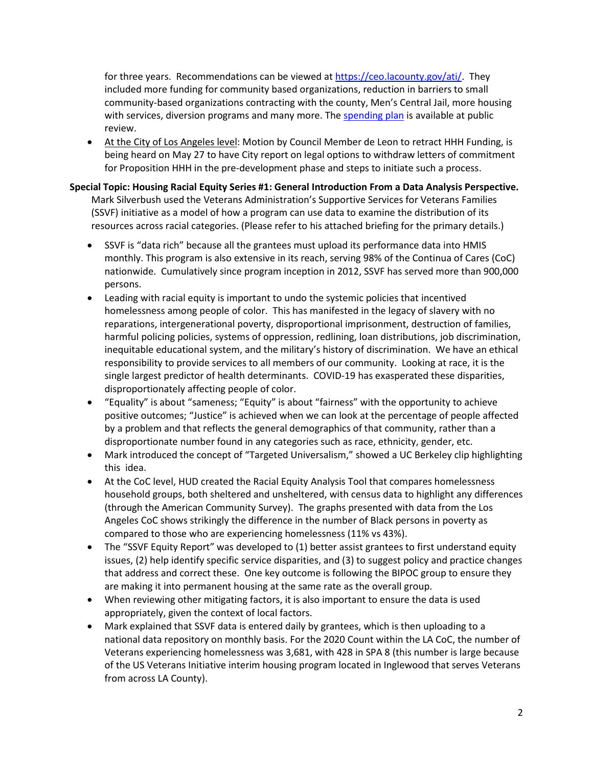for three years. Recommendations can be viewed at [https://ceo.lacounty.gov/ati/.](https://ceo.lacounty.gov/ati/) They included more funding for community based organizations, reduction in barriers to small community-based organizations contracting with the county, Men's Central Jail, more housing with services, diversion programs and many more. Th[e spending plan](https://ceo.lacounty.gov/measure-j-2021-spending/) is available at public review.

• At the City of Los Angeles level: Motion by Council Member de Leon to retract HHH Funding, is being heard on May 27 to have City report on legal options to withdraw letters of commitment for Proposition HHH in the pre-development phase and steps to initiate such a process.

## **Special Topic: Housing Racial Equity Series #1: General Introduction From a Data Analysis Perspective.**

Mark Silverbush used the Veterans Administration's Supportive Services for Veterans Families (SSVF) initiative as a model of how a program can use data to examine the distribution of its resources across racial categories. (Please refer to his attached briefing for the primary details.)

- SSVF is "data rich" because all the grantees must upload its performance data into HMIS monthly. This program is also extensive in its reach, serving 98% of the Continua of Cares (CoC) nationwide. Cumulatively since program inception in 2012, SSVF has served more than 900,000 persons.
- Leading with racial equity is important to undo the systemic policies that incentived homelessness among people of color. This has manifested in the legacy of slavery with no reparations, intergenerational poverty, disproportional imprisonment, destruction of families, harmful policing policies, systems of oppression, redlining, loan distributions, job discrimination, inequitable educational system, and the military's history of discrimination. We have an ethical responsibility to provide services to all members of our community. Looking at race, it is the single largest predictor of health determinants. COVID-19 has exasperated these disparities, disproportionately affecting people of color.
- "Equality" is about "sameness; "Equity" is about "fairness" with the opportunity to achieve positive outcomes; "Justice" is achieved when we can look at the percentage of people affected by a problem and that reflects the general demographics of that community, rather than a disproportionate number found in any categories such as race, ethnicity, gender, etc.
- Mark introduced the concept of "Targeted Universalism," showed a UC Berkeley clip highlighting this idea.
- At the CoC level, HUD created the Racial Equity Analysis Tool that compares homelessness household groups, both sheltered and unsheltered, with census data to highlight any differences (through the American Community Survey). The graphs presented with data from the Los Angeles CoC shows strikingly the difference in the number of Black persons in poverty as compared to those who are experiencing homelessness (11% vs 43%).
- The "SSVF Equity Report" was developed to (1) better assist grantees to first understand equity issues, (2) help identify specific service disparities, and (3) to suggest policy and practice changes that address and correct these. One key outcome is following the BIPOC group to ensure they are making it into permanent housing at the same rate as the overall group.
- When reviewing other mitigating factors, it is also important to ensure the data is used appropriately, given the context of local factors.
- Mark explained that SSVF data is entered daily by grantees, which is then uploading to a national data repository on monthly basis. For the 2020 Count within the LA CoC, the number of Veterans experiencing homelessness was 3,681, with 428 in SPA 8 (this number is large because of the US Veterans Initiative interim housing program located in Inglewood that serves Veterans from across LA County).